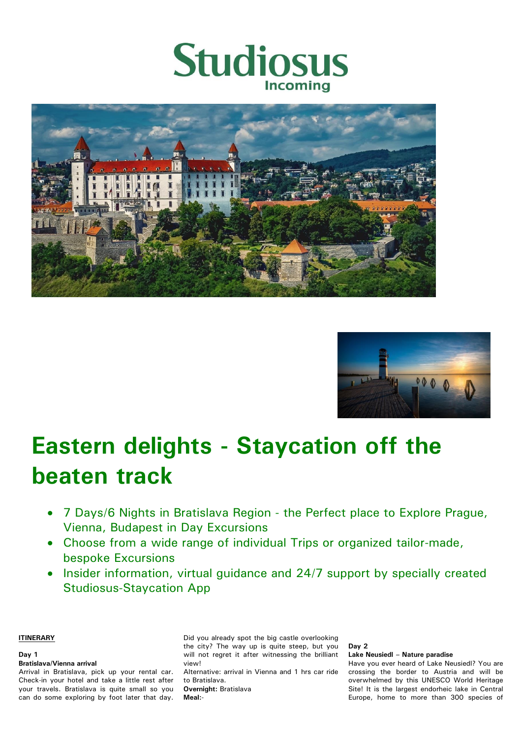





# **Eastern delights - Staycation off the beaten track**

- 7 Days/6 Nights in Bratislava Region the Perfect place to Explore Prague, Vienna, Budapest in Day Excursions
- Choose from a wide range of individual Trips or organized tailor-made, bespoke Excursions
- Insider information, virtual quidance and 24/7 support by specially created Studiosus-Staycation App

**ITINERARY**

# **Day 1**

**Bratislava/Vienna arrival**

Arrival in Bratislava, pick up your rental car. Check-in your hotel and take a little rest after your travels. Bratislava is quite small so you can do some exploring by foot later that day. Did you already spot the big castle overlooking the city? The way up is quite steep, but you will not regret it after witnessing the brilliant view! Alternative: arrival in Vienna and 1 hrs car ride

to Bratislava. **Overnight:** Bratislava

**Meal:**-

**Day 2 Lake Neusiedl – Nature paradise**  Have you ever heard of Lake Neusiedl? You are crossing the border to Austria and will be overwhelmed by this UNESCO World Heritage Site! It is the largest endorheic lake in Central

Europe, home to more than 300 species of